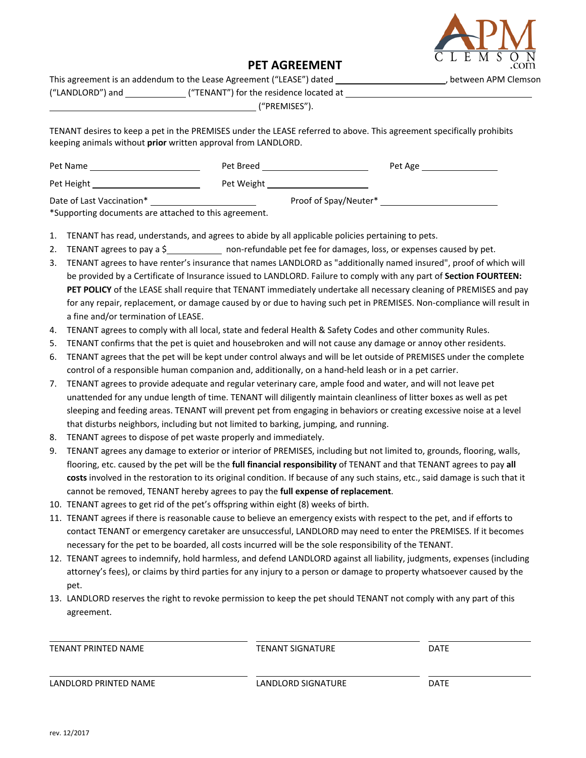

## **PET AGREEMENT**

| This agreement is an addendum to the Lease Agreement ("LEASE") dated | . between APM Clemson                   |  |
|----------------------------------------------------------------------|-----------------------------------------|--|
| ("LANDLORD") and                                                     | ("TENANT") for the residence located at |  |
|                                                                      | "PREMISES").                            |  |

TENANT desires to keep a pet in the PREMISES under the LEASE referred to above. This agreement specifically prohibits keeping animals without **prior** written approval from LANDLORD.

| Pet Name                  | Pet Breed  | Pet Age               |  |
|---------------------------|------------|-----------------------|--|
| Pet Height                | Pet Weight |                       |  |
| Date of Last Vaccination* |            | Proof of Spay/Neuter* |  |

\*Supporting documents are attached to this agreement.

- 1. TENANT has read, understands, and agrees to abide by all applicable policies pertaining to pets.
- 2. TENANT agrees to pay a \$ 1000 non-refundable pet fee for damages, loss, or expenses caused by pet.
- 3. TENANT agrees to have renter's insurance that names LANDLORD as "additionally named insured", proof of which will be provided by a Certificate of Insurance issued to LANDLORD. Failure to comply with any part of **Section FOURTEEN: PET POLICY** of the LEASE shall require that TENANT immediately undertake all necessary cleaning of PREMISES and pay for any repair, replacement, or damage caused by or due to having such pet in PREMISES. Non-compliance will result in a fine and/or termination of LEASE.
- 4. TENANT agrees to comply with all local, state and federal Health & Safety Codes and other community Rules.
- 5. TENANT confirms that the pet is quiet and housebroken and will not cause any damage or annoy other residents.
- 6. TENANT agrees that the pet will be kept under control always and will be let outside of PREMISES under the complete control of a responsible human companion and, additionally, on a hand-held leash or in a pet carrier.
- 7. TENANT agrees to provide adequate and regular veterinary care, ample food and water, and will not leave pet unattended for any undue length of time. TENANT will diligently maintain cleanliness of litter boxes as well as pet sleeping and feeding areas. TENANT will prevent pet from engaging in behaviors or creating excessive noise at a level that disturbs neighbors, including but not limited to barking, jumping, and running.
- 8. TENANT agrees to dispose of pet waste properly and immediately.
- 9. TENANT agrees any damage to exterior or interior of PREMISES, including but not limited to, grounds, flooring, walls, flooring, etc. caused by the pet will be the **full financial responsibility** of TENANT and that TENANT agrees to pay **all costs** involved in the restoration to its original condition. If because of any such stains, etc., said damage is such that it cannot be removed, TENANT hereby agrees to pay the **full expense of replacement**.
- 10. TENANT agrees to get rid of the pet's offspring within eight (8) weeks of birth.
- 11. TENANT agrees if there is reasonable cause to believe an emergency exists with respect to the pet, and if efforts to contact TENANT or emergency caretaker are unsuccessful, LANDLORD may need to enter the PREMISES. If it becomes necessary for the pet to be boarded, all costs incurred will be the sole responsibility of the TENANT.
- 12. TENANT agrees to indemnify, hold harmless, and defend LANDLORD against all liability, judgments, expenses (including attorney's fees), or claims by third parties for any injury to a person or damage to property whatsoever caused by the pet.
- 13. LANDLORD reserves the right to revoke permission to keep the pet should TENANT not comply with any part of this agreement.

| TENANT PRINTED NAME   | <b>TENANT SIGNATURE</b> | <b>DATE</b> |
|-----------------------|-------------------------|-------------|
| LANDLORD PRINTED NAME | LANDLORD SIGNATURE      | <b>DATE</b> |